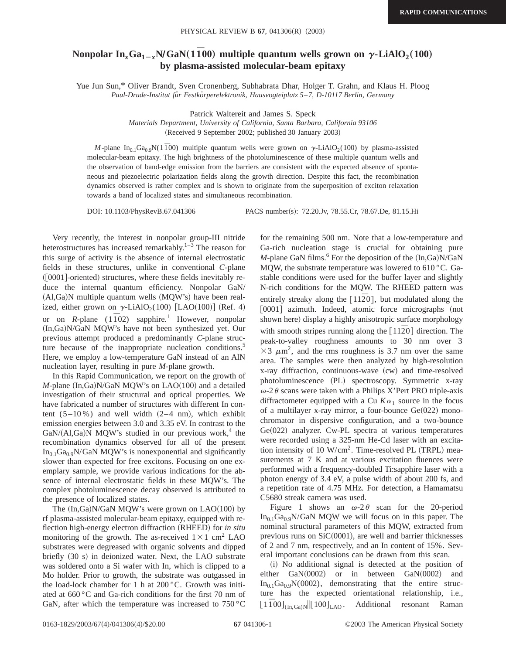## **Nonpolar In**<sub>x</sub> $Ga_{1-x}N/GaN(1\bar{1}00)$  multiple quantum wells grown on  $\gamma$ -LiAlO<sub>2</sub>(100) **by plasma-assisted molecular-beam epitaxy**

Yue Jun Sun,\* Oliver Brandt, Sven Cronenberg, Subhabrata Dhar, Holger T. Grahn, and Klaus H. Ploog *Paul-Drude-Institut fu¨r Festko¨rperelektronik, Hausvogteiplatz 5*–*7, D-10117 Berlin, Germany*

Patrick Waltereit and James S. Speck

*Materials Department, University of California, Santa Barbara, California 93106* (Received 9 September 2002; published 30 January 2003)

*M*-plane  $In_{0.1}Ga_{0.9}N(1\overline{1}00)$  multiple quantum wells were grown on  $\gamma$ -LiAlO<sub>2</sub>(100) by plasma-assisted molecular-beam epitaxy. The high brightness of the photoluminescence of these multiple quantum wells and the observation of band-edge emission from the barriers are consistent with the expected absence of spontaneous and piezoelectric polarization fields along the growth direction. Despite this fact, the recombination dynamics observed is rather complex and is shown to originate from the superposition of exciton relaxation towards a band of localized states and simultaneous recombination.

DOI: 10.1103/PhysRevB.67.041306 PACS number(s): 72.20.Jv, 78.55.Cr, 78.67.De, 81.15.Hi

Very recently, the interest in nonpolar group-III nitride heterostructures has increased remarkably. $1-\overline{3}$  The reason for this surge of activity is the absence of internal electrostatic fields in these structures, unlike in conventional *C*-plane  $(0001]$ -oriented) structures, where these fields inevitably reduce the internal quantum efficiency. Nonpolar GaN/  $(Al,Ga)N$  multiple quantum wells  $(MQW's)$  have been realized, either grown on  $\gamma$ -LiAlO<sub>2</sub>(100) [LAO(100)] (Ref. 4) or on *R*-plane (1<sup>1</sup><sub>02</sub>) sapphire.<sup>1</sup> However, nonpolar (In,Ga)N/GaN MQW's have not been synthesized yet. Our previous attempt produced a predominantly *C*-plane structure because of the inappropriate nucleation conditions.<sup>5</sup> Here, we employ a low-temperature GaN instead of an AlN nucleation layer, resulting in pure *M*-plane growth.

In this Rapid Communication, we report on the growth of  $M$ -plane  $(In,Ga)N/GaN$   $MQW$ 's on  $LAO(100)$  and a detailed investigation of their structural and optical properties. We have fabricated a number of structures with different In content  $(5-10\%)$  and well width  $(2-4 \text{ nm})$ , which exhibit emission energies between 3.0 and 3.35 eV. In contrast to the  $GaN/(A1,Ga)N$  MQW's studied in our previous work,<sup>4</sup> the recombination dynamics observed for all of the present  $In_{0.1}Ga_{0.9}N/GaN$  MQW's is nonexponential and significantly slower than expected for free excitons. Focusing on one exemplary sample, we provide various indications for the absence of internal electrostatic fields in these MQW's. The complex photoluminescence decay observed is attributed to the presence of localized states.

The  $(In,Ga)N/GaN$  MQW's were grown on  $LAO(100)$  by rf plasma-assisted molecular-beam epitaxy, equipped with reflection high-energy electron diffraction (RHEED) for *in situ* monitoring of the growth. The as-received  $1\times1$  cm<sup>2</sup> LAO substrates were degreased with organic solvents and dipped briefly (30 s) in deionized water. Next, the LAO substrate was soldered onto a Si wafer with In, which is clipped to a Mo holder. Prior to growth, the substrate was outgassed in the load-lock chamber for 1 h at 200 °C. Growth was initiated at 660 °C and Ga-rich conditions for the first 70 nm of GaN, after which the temperature was increased to  $750\,^{\circ}\text{C}$  for the remaining 500 nm. Note that a low-temperature and Ga-rich nucleation stage is crucial for obtaining pure *M*-plane GaN films.<sup>6</sup> For the deposition of the  $(In,Ga)N/GaN$ MQW, the substrate temperature was lowered to 610 °C. Gastable conditions were used for the buffer layer and slightly N-rich conditions for the MQW. The RHEED pattern was entirely streaky along the  $[11\overline{2}0]$ , but modulated along the [0001] azimuth. Indeed, atomic force micrographs (not shown here) display a highly anisotropic surface morphology with smooth stripes running along the  $\lceil 11\overline{2}0 \rceil$  direction. The peak-to-valley roughness amounts to 30 nm over 3  $\times$ 3  $\mu$ m<sup>2</sup>, and the rms roughness is 3.7 nm over the same area. The samples were then analyzed by high-resolution x-ray diffraction, continuous-wave (cw) and time-resolved photoluminescence (PL) spectroscopy. Symmetric x-ray  $\omega$ -2 $\theta$  scans were taken with a Philips X'Pert PRO triple-axis diffractometer equipped with a Cu  $K\alpha_1$  source in the focus of a multilayer x-ray mirror, a four-bounce  $Ge(022)$  monochromator in dispersive configuration, and a two-bounce  $Ge(022)$  analyzer. Cw-PL spectra at various temperatures were recorded using a 325-nm He-Cd laser with an excitation intensity of 10  $W/cm<sup>2</sup>$ . Time-resolved PL (TRPL) measurements at 7 K and at various excitation fluences were performed with a frequency-doubled Ti:sapphire laser with a photon energy of 3.4 eV, a pulse width of about 200 fs, and a repetition rate of 4.75 MHz. For detection, a Hamamatsu C5680 streak camera was used.

Figure 1 shows an  $\omega$ -2 $\theta$  scan for the 20-period  $In<sub>0.1</sub>Ga<sub>0.9</sub>N/GaN$  MQW we will focus on in this paper. The nominal structural parameters of this MQW, extracted from previous runs on  $SiC(0001)$ , are well and barrier thicknesses of 2 and 7 nm, respectively, and an In content of 15%. Several important conclusions can be drawn from this scan.

(i) No additional signal is detected at the position of either  $GaN(0002)$  or in between  $GaN(0002)$  and  $In_{0.1}Ga_{0.9}N(0002)$ , demonstrating that the entire structure has the expected orientational relationship, i.e.,  $[1\overline{1}00]_{(In,Ga)N}$   $[100]_{\text{LAO}}$  . Additional resonant Raman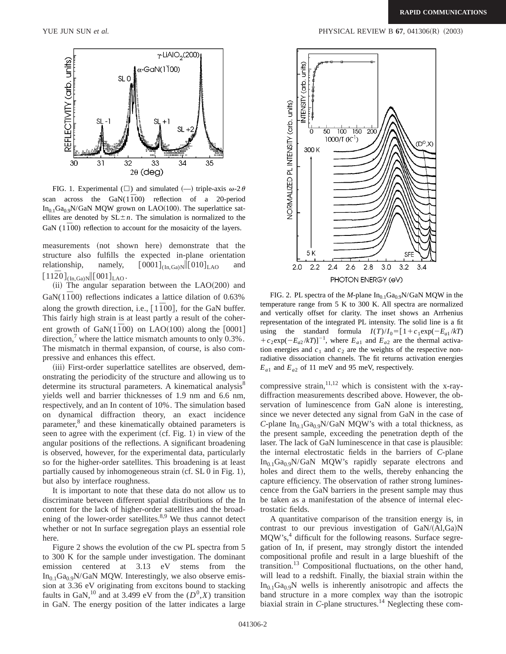

FIG. 1. Experimental ( $\square$ ) and simulated ( $\rightarrow$ ) triple-axis  $\omega$ -2 $\theta$ scan across the GaN(1<sup>1</sup><sub>0</sub><sup>0</sup>) reflection of a 20-period  $In_{0.1}Ga_{0.9}N/GaN$  MQW grown on LAO(100). The superlattice satellites are denoted by  $SL \pm n$ . The simulation is normalized to the GaN  $(1\bar{1}00)$  reflection to account for the mosaicity of the layers.

measurements (not shown here) demonstrate that the structure also fulfills the expected in-plane orientation relationship, namely,  $[0001]_{(In,Ga)N}$  $[010]_{LAO}$  and  $[11\overline{2}0]_{(In,Ga)N}$ [001]<sub>LAO</sub>.

 $(iii)$  The angular separation between the  $LAO(200)$  and GaN( $1\bar{1}00$ ) reflections indicates a lattice dilation of 0.63% along the growth direction, i.e.,  $[1\overline{1}00]$ , for the GaN buffer. This fairly high strain is at least partly a result of the coherent growth of GaN( $1\overline{1}00$ ) on LAO(100) along the [0001] direction,<sup>7</sup> where the lattice mismatch amounts to only  $0.3\%$ . The mismatch in thermal expansion, of course, is also compressive and enhances this effect.

(iii) First-order superlattice satellites are observed, demonstrating the periodicity of the structure and allowing us to determine its structural parameters. A kinematical analysis<sup>8</sup> yields well and barrier thicknesses of 1.9 nm and 6.6 nm, respectively, and an In content of 10%. The simulation based on dynamical diffraction theory, an exact incidence parameter,<sup>8</sup> and these kinematically obtained parameters is seen to agree with the experiment  $(cf. Fig. 1)$  in view of the angular positions of the reflections. A significant broadening is observed, however, for the experimental data, particularly so for the higher-order satellites. This broadening is at least partially caused by inhomogeneous strain  $(cf. SL 0$  in Fig. 1), but also by interface roughness.

It is important to note that these data do not allow us to discriminate between different spatial distributions of the In content for the lack of higher-order satellites and the broadening of the lower-order satellites. $8,9$  We thus cannot detect whether or not In surface segregation plays an essential role here.

Figure 2 shows the evolution of the cw PL spectra from 5 to 300 K for the sample under investigation. The dominant emission centered at 3.13 eV stems from the  $In<sub>0.1</sub>Ga<sub>0.9</sub>N/GaN MQW. Interestingly, we also observe emis$ sion at 3.36 eV originating from excitons bound to stacking faults in GaN,<sup>10</sup> and at 3.499 eV from the  $(D^0, X)$  transition in GaN. The energy position of the latter indicates a large



FIG. 2. PL spectra of the *M*-plane  $In<sub>0.1</sub>Ga<sub>0.9</sub>N/GaN$  MQW in the temperature range from 5 K to 300 K. All spectra are normalized and vertically offset for clarity. The inset shows an Arrhenius representation of the integrated PL intensity. The solid line is a fit using the standard formula  $I(T)/I_0 = [1 + c_1 \exp(-E_{a1}/kT)]$ +  $c_2$ exp( $-E_{a2}/kT$ )]<sup>-1</sup>, where  $E_{a1}$  and  $E_{a2}$  are the thermal activation energies and  $c_1$  and  $c_2$  are the weights of the respective nonradiative dissociation channels. The fit returns activation energies  $E_{a1}$  and  $E_{a2}$  of 11 meV and 95 meV, respectively.

compressive strain,  $11,12$  which is consistent with the x-raydiffraction measurements described above. However, the observation of luminescence from GaN alone is interesting, since we never detected any signal from GaN in the case of *C*-plane  $In_{0.1}Ga_{0.9}N/GaN$  MQW's with a total thickness, as the present sample, exceeding the penetration depth of the laser. The lack of GaN luminescence in that case is plausible: the internal electrostatic fields in the barriers of *C*-plane  $In_{0.1}Ga_{0.9}N/GaN$  MQW's rapidly separate electrons and holes and direct them to the wells, thereby enhancing the capture efficiency. The observation of rather strong luminescence from the GaN barriers in the present sample may thus be taken as a manifestation of the absence of internal electrostatic fields.

A quantitative comparison of the transition energy is, in contrast to our previous investigation of  $\text{GaN}/(\text{Al},\text{Ga})\text{N}$ MQW's,<sup>4</sup> difficult for the following reasons. Surface segregation of In, if present, may strongly distort the intended compositional profile and result in a large blueshift of the transition.<sup>13</sup> Compositional fluctuations, on the other hand, will lead to a redshift. Finally, the biaxial strain within the  $In<sub>0.1</sub>Ga<sub>0.9</sub>N$  wells is inherently anisotropic and affects the band structure in a more complex way than the isotropic biaxial strain in *C*-plane structures.<sup>14</sup> Neglecting these com-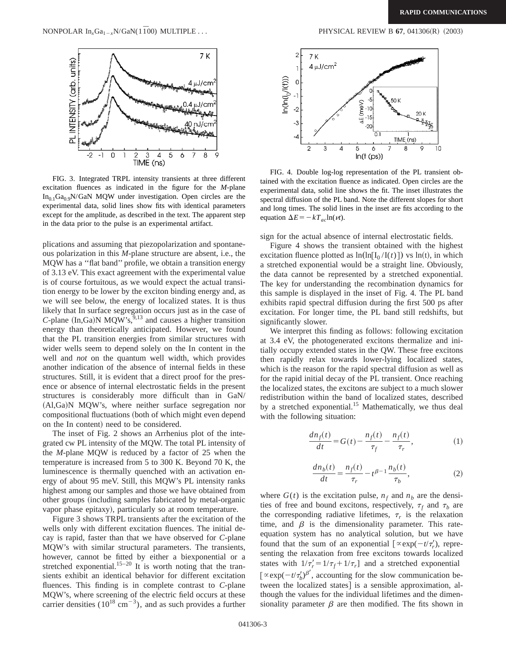

FIG. 3. Integrated TRPL intensity transients at three different excitation fluences as indicated in the figure for the *M*-plane  $In<sub>0.1</sub>Ga<sub>0.9</sub>N/GaN$  MQW under investigation. Open circles are the experimental data, solid lines show fits with identical parameters except for the amplitude, as described in the text. The apparent step in the data prior to the pulse is an experimental artifact.

plications and assuming that piezopolarization and spontaneous polarization in this *M*-plane structure are absent, i.e., the MQW has a ''flat band'' profile, we obtain a transition energy of 3.13 eV. This exact agreement with the experimental value is of course fortuitous, as we would expect the actual transition energy to be lower by the exciton binding energy and, as we will see below, the energy of localized states. It is thus likely that In surface segregation occurs just as in the case of *C*-plane  $(In,Ga)$ N MQW's,<sup>9,13</sup> and causes a higher transition energy than theoretically anticipated. However, we found that the PL transition energies from similar structures with wider wells seem to depend solely on the In content in the well and *not* on the quantum well width, which provides another indication of the absence of internal fields in these structures. Still, it is evident that a direct proof for the presence or absence of internal electrostatic fields in the present structures is considerably more difficult than in GaN/  $(AI, Ga)$ N MQW's, where neither surface segregation nor compositional fluctuations (both of which might even depend on the In content) need to be considered.

The inset of Fig. 2 shows an Arrhenius plot of the integrated cw PL intensity of the MQW. The total PL intensity of the *M*-plane MQW is reduced by a factor of 25 when the temperature is increased from 5 to 300 K. Beyond 70 K, the luminescence is thermally quenched with an activation energy of about 95 meV. Still, this MQW's PL intensity ranks highest among our samples and those we have obtained from other groups (including samples fabricated by metal-organic vapor phase epitaxy), particularly so at room temperature.

Figure 3 shows TRPL transients after the excitation of the wells only with different excitation fluences. The initial decay is rapid, faster than that we have observed for *C*-plane MQW's with similar structural parameters. The transients, however, cannot be fitted by either a biexponential or a stretched exponential.<sup>15–20</sup> It is worth noting that the transients exhibit an identical behavior for different excitation fluences. This finding is in complete contrast to *C*-plane MQW's, where screening of the electric field occurs at these carrier densities ( $10^{18}$  cm<sup>-3</sup>), and as such provides a further



FIG. 4. Double log-log representation of the PL transient obtained with the excitation fluence as indicated. Open circles are the experimental data, solid line shows the fit. The inset illustrates the spectral diffusion of the PL band. Note the different slopes for short and long times. The solid lines in the inset are fits according to the equation  $\Delta E = -kT_{ac}\ln(\nu t)$ .

sign for the actual absence of internal electrostatic fields.

Figure 4 shows the transient obtained with the highest excitation fluence plotted as  $\ln(\ln[I_0 / I(t)])$  vs  $\ln(t)$ , in which a stretched exponential would be a straight line. Obviously, the data cannot be represented by a stretched exponential. The key for understanding the recombination dynamics for this sample is displayed in the inset of Fig. 4. The PL band exhibits rapid spectral diffusion during the first 500 ps after excitation. For longer time, the PL band still redshifts, but significantly slower.

We interpret this finding as follows: following excitation at 3.4 eV, the photogenerated excitons thermalize and initially occupy extended states in the QW. These free excitons then rapidly relax towards lower-lying localized states, which is the reason for the rapid spectral diffusion as well as for the rapid initial decay of the PL transient. Once reaching the localized states, the excitons are subject to a much slower redistribution within the band of localized states, described by a stretched exponential.<sup>15</sup> Mathematically, we thus deal with the following situation:

$$
\frac{dn_f(t)}{dt} = G(t) - \frac{n_f(t)}{\tau_f} - \frac{n_f(t)}{\tau_r},\tag{1}
$$

$$
\frac{dn_b(t)}{dt} = \frac{n_f(t)}{\tau_r} - t^{\beta - 1} \frac{n_b(t)}{\tau_b},
$$
 (2)

where  $G(t)$  is the excitation pulse,  $n_f$  and  $n_b$  are the densities of free and bound excitons, respectively,  $\tau_f$  and  $\tau_b$  are the corresponding radiative lifetimes,  $\tau_r$  is the relaxation time, and  $\beta$  is the dimensionality parameter. This rateequation system has no analytical solution, but we have found that the sum of an exponential  $[\propto \exp(-t/\tau_r')$ , representing the relaxation from free excitons towards localized states with  $1/\tau'_r = 1/\tau_f + 1/\tau_r$  and a stretched exponential  $\left[\alpha \exp(-t/\tau_b')^{\beta'}\right]$ , accounting for the slow communication between the localized states] is a sensible approximation, although the values for the individual lifetimes and the dimensionality parameter  $\beta$  are then modified. The fits shown in